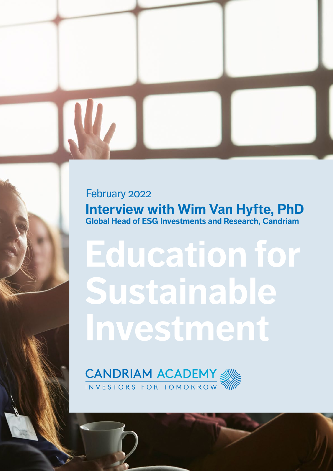**Interview with Wim Van Hyfte, PhD Global Head of ESG Investments and Research, Candriam** February 2022

# **Education for Sustainable Investment**

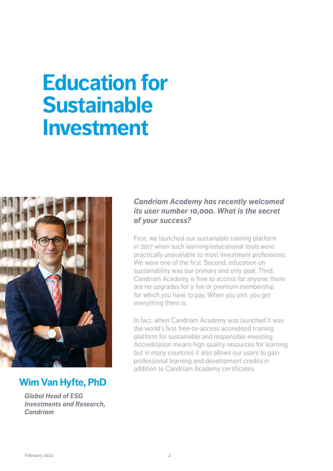## **Education for Sustainable Investment**



### **Wim Van Hyfte, PhD**

*Global Head of ESG Investments and Research, Candriam*

#### *Candriam Academy has recently welcomed its user number 10,000. What is the secret of your success?*

First, we launched our sustainable training platform in 2017 when such learning/educational tools were practically unavailable to most investment professions. We were one of the first. Second, education on sustainability was our primary and only goal. Third, Candriam Academy is free to access for anyone, there are no upgrades for a fee or premium membership for which you have to pay. When you join, you get everything there is.

In fact, when Candriam Academy was launched it was the world's first free-to-access accredited training platform for sustainable and responsible investing. Accreditation means high quality resources for learning but in many countries it also allows our users to gain professional learning and development credits in addition to Candriam Academy certificates.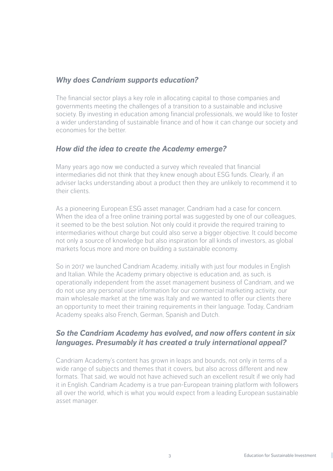#### *Why does Candriam supports education?*

The financial sector plays a key role in allocating capital to those companies and governments meeting the challenges of a transition to a sustainable and inclusive society. By investing in education among financial professionals, we would like to foster a wider understanding of sustainable finance and of how it can change our society and economies for the better.

#### *How did the idea to create the Academy emerge?*

Many years ago now we conducted a survey which revealed that financial intermediaries did not think that they knew enough about ESG funds. Clearly, if an adviser lacks understanding about a product then they are unlikely to recommend it to their clients.

As a pioneering European ESG asset manager, Candriam had a case for concern. When the idea of a free online training portal was suggested by one of our colleagues, it seemed to be the best solution. Not only could it provide the required training to intermediaries without charge but could also serve a bigger objective. It could become not only a source of knowledge but also inspiration for all kinds of investors, as global markets focus more and more on building a sustainable economy.

So in 2017 we launched Candriam Academy, initially with just four modules in English and Italian. While the Academy primary objective is education and, as such, is operationally independent from the asset management business of Candriam, and we do not use any personal user information for our commercial marketing activity, our main wholesale market at the time was Italy and we wanted to offer our clients there an opportunity to meet their training requirements in their language. Today, Candriam Academy speaks also French, German, Spanish and Dutch.

#### *So the Candriam Academy has evolved, and now offers content in six languages. Presumably it has created a truly international appeal?*

Candriam Academy's content has grown in leaps and bounds, not only in terms of a wide range of subjects and themes that it covers, but also across different and new formats. That said, we would not have achieved such an excellent result if we only had it in English. Candriam Academy is a true pan-European training platform with followers all over the world, which is what you would expect from a leading European sustainable asset manager.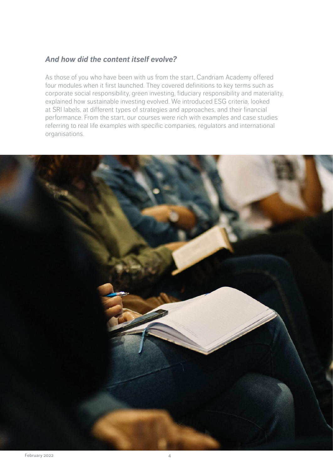#### *And how did the content itself evolve?*

As those of you who have been with us from the start, Candriam Academy offered four modules when it first launched. They covered definitions to key terms such as corporate social responsibility, green investing, fiduciary responsibility and materiality, explained how sustainable investing evolved. We introduced ESG criteria, looked at SRI labels, at different types of strategies and approaches, and their financial performance. From the start, our courses were rich with examples and case studies referring to real life examples with specific companies, regulators and international organisations.

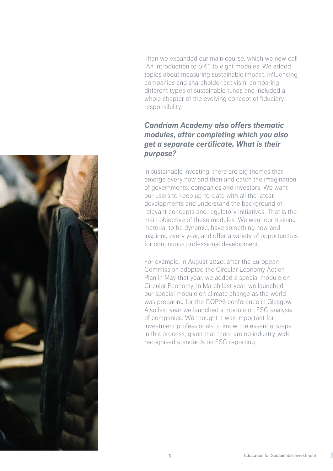Then we expanded our main course, which we now call "An Introduction to SRI", to eight modules. We added topics about measuring sustainable impact, influencing companies and shareholder activism, comparing different types of sustainable funds and included a whole chapter of the evolving concept of fiduciary responsibility.

#### *Candriam Academy also offers thematic modules, after completing which you also get a separate certificate. What is their purpose?*

In sustainable investing, there are big themes that emerge every now and then and catch the imagination of governments, companies and investors. We want our users to keep up-to-date with all the latest developments and understand the background of relevant concepts and regulatory initiatives. That is the main objective of these modules. We want our training material to be dynamic, have something new and inspiring every year, and offer a variety of opportunities for continuous professional development.

For example, in August 2020, after the European Commission adopted the Circular Economy Action Plan in May that year, we added a special module on Circular Economy. In March last year, we launched our special module on climate change as the world was preparing for the COP26 conference in Glasgow. Also last year we launched a module on ESG analysis of companies. We thought it was important for investment professionals to know the essential steps in this process, given that there are no industry-wide recognised standards on ESG reporting.

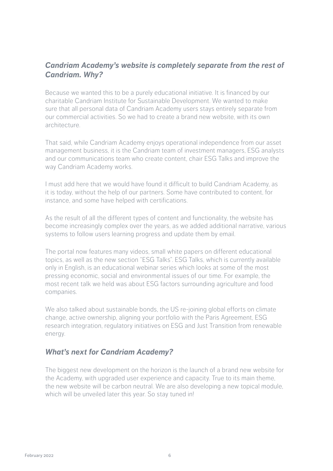#### *Candriam Academy's website is completely separate from the rest of Candriam. Why?*

Because we wanted this to be a purely educational initiative. It is financed by our charitable Candriam Institute for Sustainable Development. We wanted to make sure that all personal data of Candriam Academy users stays entirely separate from our commercial activities. So we had to create a brand new website, with its own architecture.

That said, while Candriam Academy enjoys operational independence from our asset management business, it is the Candriam team of investment managers, ESG analysts and our communications team who create content, chair ESG Talks and improve the way Candriam Academy works.

I must add here that we would have found it difficult to build Candriam Academy, as it is today, without the help of our partners. Some have contributed to content, for instance, and some have helped with certifications.

As the result of all the different types of content and functionality, the website has become increasingly complex over the years, as we added additional narrative, various systems to follow users learning progress and update them by email.

The portal now features many videos, small white papers on different educational topics, as well as the new section "ESG Talks". ESG Talks, which is currently available only in English, is an educational webinar series which looks at some of the most pressing economic, social and environmental issues of our time. For example, the most recent talk we held was about ESG factors surrounding agriculture and food companies.

We also talked about sustainable bonds, the US re-joining global efforts on climate change, active ownership, aligning your portfolio with the Paris Agreement, ESG research integration, regulatory initiatives on ESG and Just Transition from renewable energy.

#### *What's next for Candriam Academy?*

The biggest new development on the horizon is the launch of a brand new website for the Academy, with upgraded user experience and capacity. True to its main theme, the new website will be carbon neutral. We are also developing a new topical module, which will be unveiled later this year. So stay tuned in!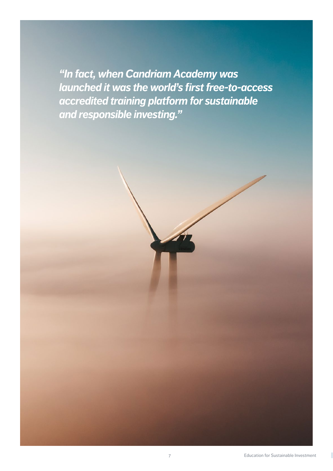*"In fact, when Candriam Academy was launched it was the world's first free-to-access accredited training platform for sustainable and responsible investing."*